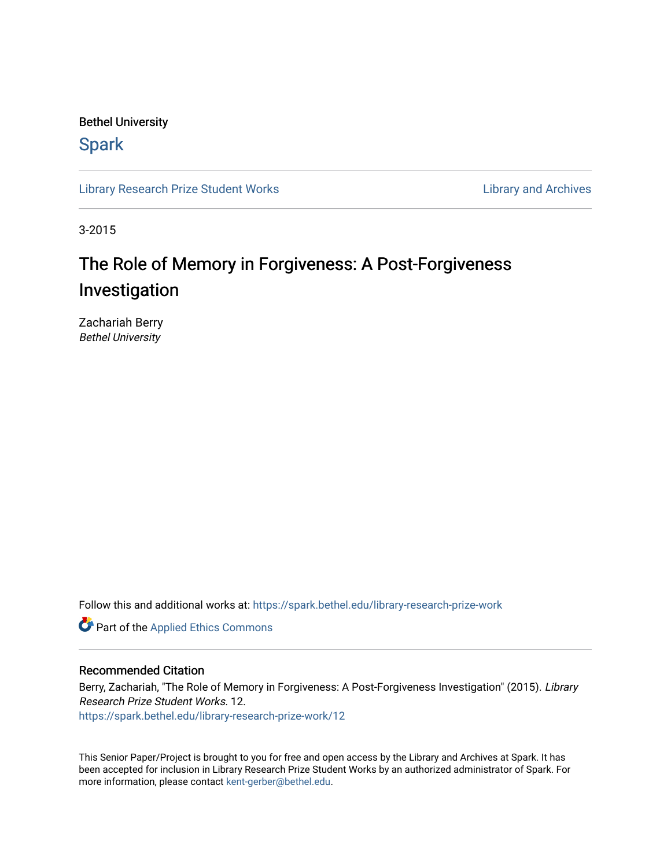# Bethel University

# **Spark**

[Library Research Prize Student Works](https://spark.bethel.edu/library-research-prize-work) **Library Access 2018** Library and Archives

3-2015

# The Role of Memory in Forgiveness: A Post-Forgiveness Investigation

Zachariah Berry Bethel University

Follow this and additional works at: [https://spark.bethel.edu/library-research-prize-work](https://spark.bethel.edu/library-research-prize-work?utm_source=spark.bethel.edu%2Flibrary-research-prize-work%2F12&utm_medium=PDF&utm_campaign=PDFCoverPages) 

**Part of the Applied Ethics Commons** 

# Recommended Citation

Berry, Zachariah, "The Role of Memory in Forgiveness: A Post-Forgiveness Investigation" (2015). Library Research Prize Student Works. 12.

[https://spark.bethel.edu/library-research-prize-work/12](https://spark.bethel.edu/library-research-prize-work/12?utm_source=spark.bethel.edu%2Flibrary-research-prize-work%2F12&utm_medium=PDF&utm_campaign=PDFCoverPages) 

This Senior Paper/Project is brought to you for free and open access by the Library and Archives at Spark. It has been accepted for inclusion in Library Research Prize Student Works by an authorized administrator of Spark. For more information, please contact [kent-gerber@bethel.edu.](mailto:kent-gerber@bethel.edu)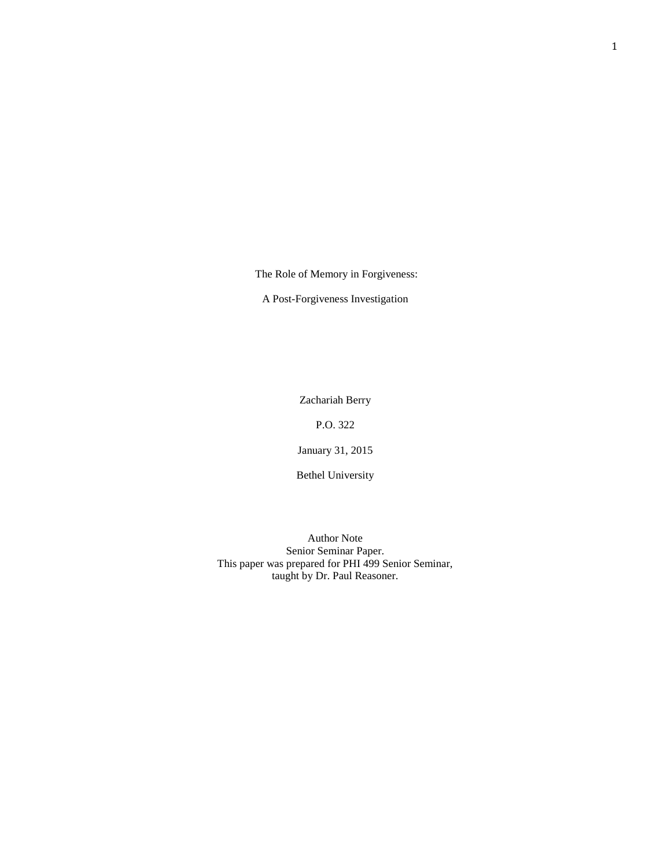The Role of Memory in Forgiveness:

A Post-Forgiveness Investigation

Zachariah Berry

P.O. 322

January 31, 2015

Bethel University

Author Note Senior Seminar Paper. This paper was prepared for PHI 499 Senior Seminar, taught by Dr. Paul Reasoner.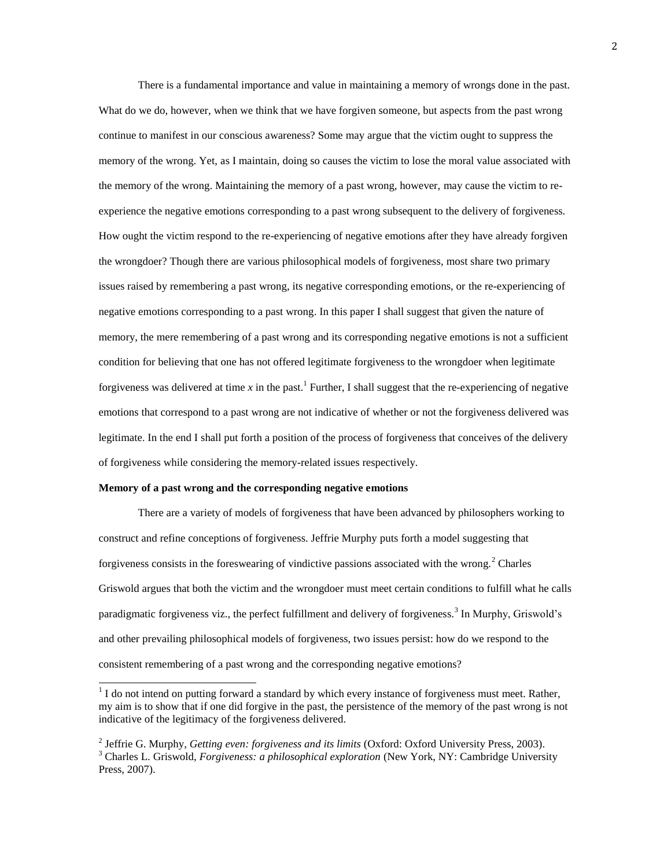There is a fundamental importance and value in maintaining a memory of wrongs done in the past. What do we do, however, when we think that we have forgiven someone, but aspects from the past wrong continue to manifest in our conscious awareness? Some may argue that the victim ought to suppress the memory of the wrong. Yet, as I maintain, doing so causes the victim to lose the moral value associated with the memory of the wrong. Maintaining the memory of a past wrong, however, may cause the victim to reexperience the negative emotions corresponding to a past wrong subsequent to the delivery of forgiveness. How ought the victim respond to the re-experiencing of negative emotions after they have already forgiven the wrongdoer? Though there are various philosophical models of forgiveness, most share two primary issues raised by remembering a past wrong, its negative corresponding emotions, or the re-experiencing of negative emotions corresponding to a past wrong. In this paper I shall suggest that given the nature of memory, the mere remembering of a past wrong and its corresponding negative emotions is not a sufficient condition for believing that one has not offered legitimate forgiveness to the wrongdoer when legitimate forgiveness was delivered at time  $x$  in the past.<sup>1</sup> Further, I shall suggest that the re-experiencing of negative emotions that correspond to a past wrong are not indicative of whether or not the forgiveness delivered was legitimate. In the end I shall put forth a position of the process of forgiveness that conceives of the delivery of forgiveness while considering the memory-related issues respectively.

#### **Memory of a past wrong and the corresponding negative emotions**

There are a variety of models of forgiveness that have been advanced by philosophers working to construct and refine conceptions of forgiveness. Jeffrie Murphy puts forth a model suggesting that forgiveness consists in the foreswearing of vindictive passions associated with the wrong.<sup>2</sup> Charles Griswold argues that both the victim and the wrongdoer must meet certain conditions to fulfill what he calls paradigmatic forgiveness viz., the perfect fulfillment and delivery of forgiveness.<sup>3</sup> In Murphy, Griswold's and other prevailing philosophical models of forgiveness, two issues persist: how do we respond to the consistent remembering of a past wrong and the corresponding negative emotions?

<sup>&</sup>lt;sup>1</sup> I do not intend on putting forward a standard by which every instance of forgiveness must meet. Rather, my aim is to show that if one did forgive in the past, the persistence of the memory of the past wrong is not indicative of the legitimacy of the forgiveness delivered.

<sup>2</sup> Jeffrie G. Murphy, *Getting even: forgiveness and its limits* (Oxford: Oxford University Press, 2003). <sup>3</sup> Charles L. Griswold, *Forgiveness: a philosophical exploration* (New York, NY: Cambridge University Press, 2007).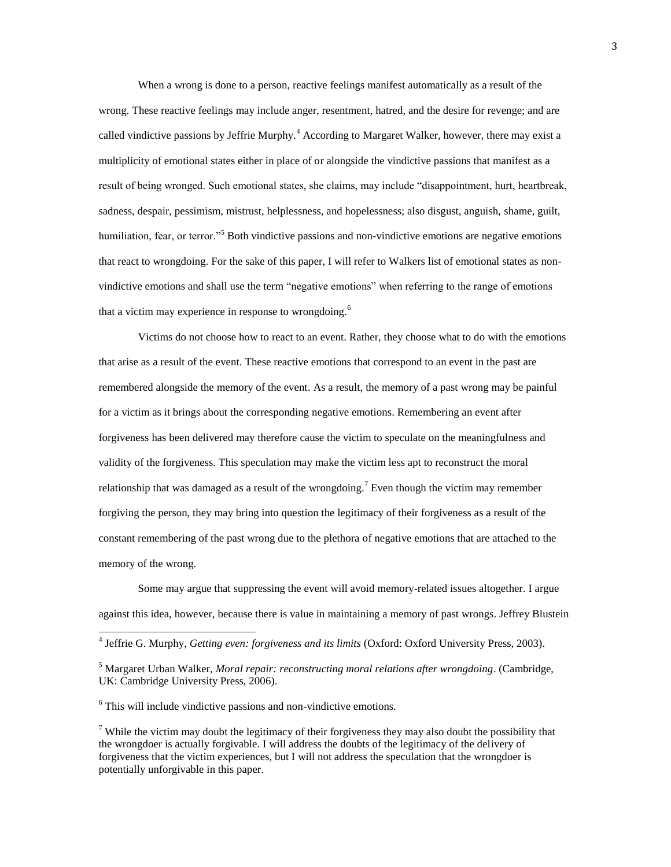When a wrong is done to a person, reactive feelings manifest automatically as a result of the wrong. These reactive feelings may include anger, resentment, hatred, and the desire for revenge; and are called vindictive passions by Jeffrie Murphy.<sup>4</sup> According to Margaret Walker, however, there may exist a multiplicity of emotional states either in place of or alongside the vindictive passions that manifest as a result of being wronged. Such emotional states, she claims, may include "disappointment, hurt, heartbreak, sadness, despair, pessimism, mistrust, helplessness, and hopelessness; also disgust, anguish, shame, guilt, humiliation, fear, or terror.<sup>35</sup> Both vindictive passions and non-vindictive emotions are negative emotions that react to wrongdoing. For the sake of this paper, I will refer to Walkers list of emotional states as nonvindictive emotions and shall use the term "negative emotions" when referring to the range of emotions that a victim may experience in response to wrongdoing.<sup>6</sup>

Victims do not choose how to react to an event. Rather, they choose what to do with the emotions that arise as a result of the event. These reactive emotions that correspond to an event in the past are remembered alongside the memory of the event. As a result, the memory of a past wrong may be painful for a victim as it brings about the corresponding negative emotions. Remembering an event after forgiveness has been delivered may therefore cause the victim to speculate on the meaningfulness and validity of the forgiveness. This speculation may make the victim less apt to reconstruct the moral relationship that was damaged as a result of the wrongdoing.<sup>7</sup> Even though the victim may remember forgiving the person, they may bring into question the legitimacy of their forgiveness as a result of the constant remembering of the past wrong due to the plethora of negative emotions that are attached to the memory of the wrong.

Some may argue that suppressing the event will avoid memory-related issues altogether. I argue against this idea, however, because there is value in maintaining a memory of past wrongs. Jeffrey Blustein

 $6$  This will include vindictive passions and non-vindictive emotions.

<sup>7</sup> While the victim may doubt the legitimacy of their forgiveness they may also doubt the possibility that the wrongdoer is actually forgivable. I will address the doubts of the legitimacy of the delivery of forgiveness that the victim experiences, but I will not address the speculation that the wrongdoer is potentially unforgivable in this paper.

 4 Jeffrie G. Murphy, *Getting even: forgiveness and its limits* (Oxford: Oxford University Press, 2003).

<sup>5</sup> Margaret Urban Walker, *Moral repair: reconstructing moral relations after wrongdoing*. (Cambridge, UK: Cambridge University Press, 2006).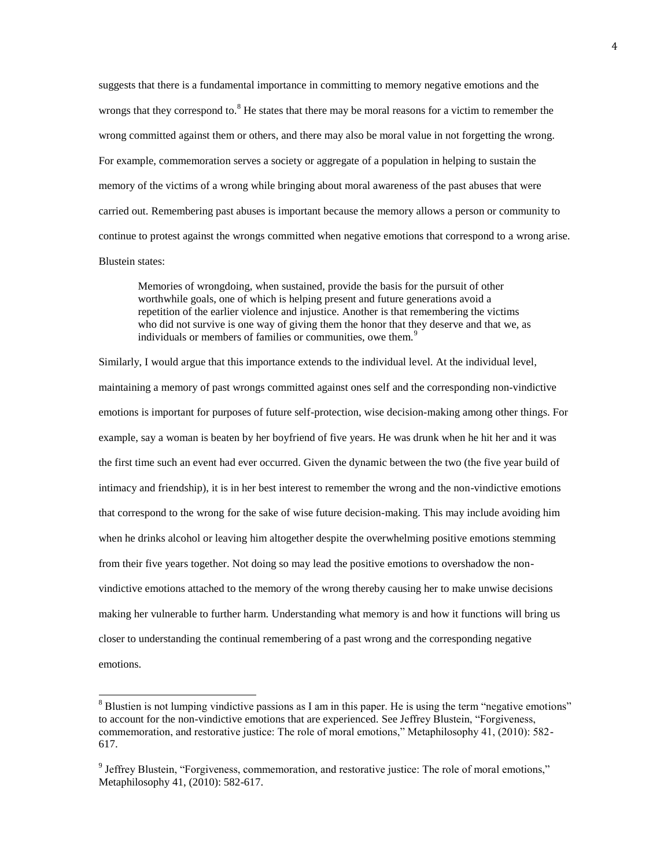suggests that there is a fundamental importance in committing to memory negative emotions and the wrongs that they correspond to.<sup>8</sup> He states that there may be moral reasons for a victim to remember the wrong committed against them or others, and there may also be moral value in not forgetting the wrong. For example, commemoration serves a society or aggregate of a population in helping to sustain the memory of the victims of a wrong while bringing about moral awareness of the past abuses that were carried out. Remembering past abuses is important because the memory allows a person or community to continue to protest against the wrongs committed when negative emotions that correspond to a wrong arise. Blustein states:

Memories of wrongdoing, when sustained, provide the basis for the pursuit of other worthwhile goals, one of which is helping present and future generations avoid a repetition of the earlier violence and injustice. Another is that remembering the victims who did not survive is one way of giving them the honor that they deserve and that we, as individuals or members of families or communities, owe them.<sup>9</sup>

Similarly, I would argue that this importance extends to the individual level. At the individual level, maintaining a memory of past wrongs committed against ones self and the corresponding non-vindictive emotions is important for purposes of future self-protection, wise decision-making among other things. For example, say a woman is beaten by her boyfriend of five years. He was drunk when he hit her and it was the first time such an event had ever occurred. Given the dynamic between the two (the five year build of intimacy and friendship), it is in her best interest to remember the wrong and the non-vindictive emotions that correspond to the wrong for the sake of wise future decision-making. This may include avoiding him when he drinks alcohol or leaving him altogether despite the overwhelming positive emotions stemming from their five years together. Not doing so may lead the positive emotions to overshadow the nonvindictive emotions attached to the memory of the wrong thereby causing her to make unwise decisions making her vulnerable to further harm. Understanding what memory is and how it functions will bring us closer to understanding the continual remembering of a past wrong and the corresponding negative emotions.

<sup>&</sup>lt;sup>8</sup> Blustien is not lumping vindictive passions as I am in this paper. He is using the term "negative emotions" to account for the non-vindictive emotions that are experienced. See Jeffrey Blustein, "Forgiveness, commemoration, and restorative justice: The role of moral emotions," Metaphilosophy 41, (2010): 582- 617.

<sup>&</sup>lt;sup>9</sup> Jeffrey Blustein, "Forgiveness, commemoration, and restorative justice: The role of moral emotions," Metaphilosophy 41, (2010): 582-617.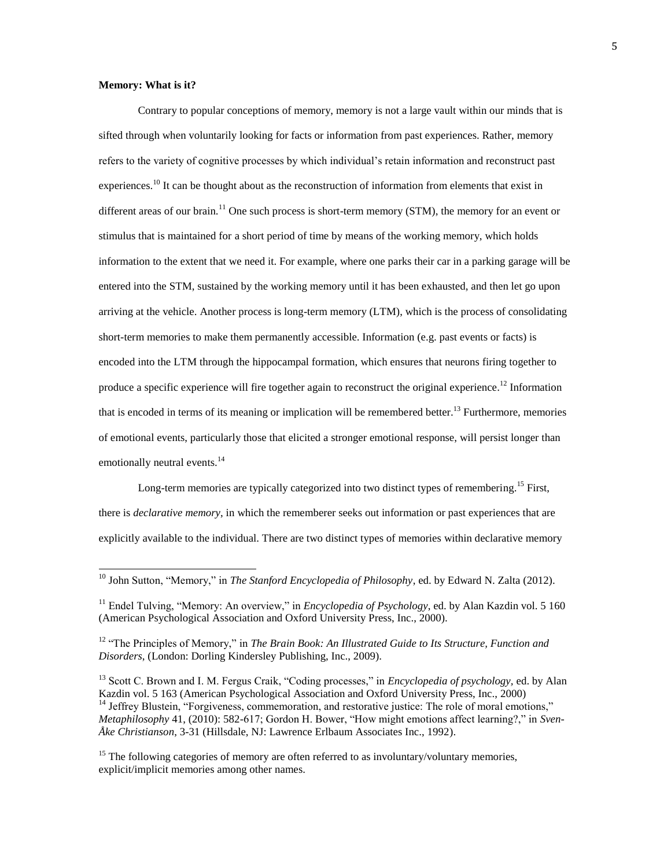## **Memory: What is it?**

 $\overline{a}$ 

Contrary to popular conceptions of memory, memory is not a large vault within our minds that is sifted through when voluntarily looking for facts or information from past experiences. Rather, memory refers to the variety of cognitive processes by which individual's retain information and reconstruct past experiences.<sup>10</sup> It can be thought about as the reconstruction of information from elements that exist in different areas of our brain.<sup>11</sup> One such process is short-term memory (STM), the memory for an event or stimulus that is maintained for a short period of time by means of the working memory, which holds information to the extent that we need it. For example, where one parks their car in a parking garage will be entered into the STM, sustained by the working memory until it has been exhausted, and then let go upon arriving at the vehicle. Another process is long-term memory (LTM), which is the process of consolidating short-term memories to make them permanently accessible. Information (e.g. past events or facts) is encoded into the LTM through the hippocampal formation, which ensures that neurons firing together to produce a specific experience will fire together again to reconstruct the original experience.<sup>12</sup> Information that is encoded in terms of its meaning or implication will be remembered better.<sup>13</sup> Furthermore, memories of emotional events, particularly those that elicited a stronger emotional response, will persist longer than emotionally neutral events.<sup>14</sup>

Long-term memories are typically categorized into two distinct types of remembering.<sup>15</sup> First, there is *declarative memory*, in which the rememberer seeks out information or past experiences that are explicitly available to the individual. There are two distinct types of memories within declarative memory

<sup>&</sup>lt;sup>10</sup> John Sutton, "Memory," in *The Stanford Encyclopedia of Philosophy*, ed. by Edward N. Zalta (2012).

<sup>11</sup> Endel Tulving, "Memory: An overview," in *Encyclopedia of Psychology*, ed. by Alan Kazdin vol. 5 160 (American Psychological Association and Oxford University Press, Inc., 2000).

<sup>&</sup>lt;sup>12</sup> "The Principles of Memory," in *The Brain Book: An Illustrated Guide to Its Structure, Function and Disorders*, (London: Dorling Kindersley Publishing, Inc., 2009).

<sup>13</sup> Scott C. Brown and I. M. Fergus Craik, "Coding processes," in *Encyclopedia of psychology,* ed. by Alan Kazdin vol. 5 163 (American Psychological Association and Oxford University Press, Inc., 2000) <sup>14</sup> Jeffrey Blustein, "Forgiveness, commemoration, and restorative justice: The role of moral emotions," *Metaphilosophy* 41, (2010): 582-617; Gordon H. Bower, "How might emotions affect learning?," in *Sven-Åke Christianson*, 3-31 (Hillsdale, NJ: Lawrence Erlbaum Associates Inc., 1992).

 $15$  The following categories of memory are often referred to as involuntary/voluntary memories, explicit/implicit memories among other names.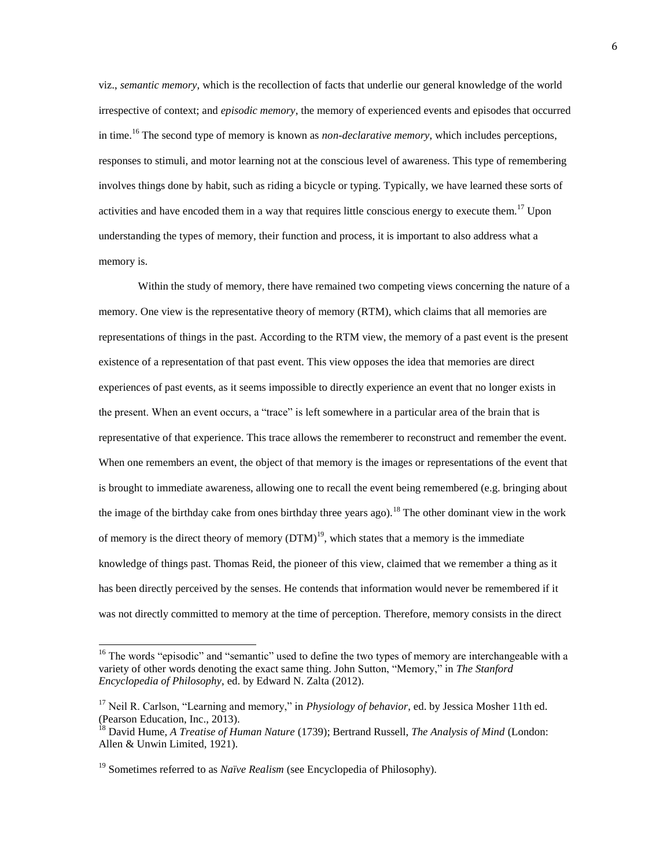viz., *semantic memory*, which is the recollection of facts that underlie our general knowledge of the world irrespective of context; and *episodic memory*, the memory of experienced events and episodes that occurred in time.<sup>16</sup> The second type of memory is known as *non-declarative memory*, which includes perceptions, responses to stimuli, and motor learning not at the conscious level of awareness. This type of remembering involves things done by habit, such as riding a bicycle or typing. Typically, we have learned these sorts of activities and have encoded them in a way that requires little conscious energy to execute them.<sup>17</sup> Upon understanding the types of memory, their function and process, it is important to also address what a memory is.

Within the study of memory, there have remained two competing views concerning the nature of a memory. One view is the representative theory of memory (RTM), which claims that all memories are representations of things in the past. According to the RTM view, the memory of a past event is the present existence of a representation of that past event. This view opposes the idea that memories are direct experiences of past events, as it seems impossible to directly experience an event that no longer exists in the present. When an event occurs, a "trace" is left somewhere in a particular area of the brain that is representative of that experience. This trace allows the rememberer to reconstruct and remember the event. When one remembers an event, the object of that memory is the images or representations of the event that is brought to immediate awareness, allowing one to recall the event being remembered (e.g. bringing about the image of the birthday cake from ones birthday three years ago).<sup>18</sup> The other dominant view in the work of memory is the direct theory of memory  $(DTM)^{19}$ , which states that a memory is the immediate knowledge of things past. Thomas Reid, the pioneer of this view, claimed that we remember a thing as it has been directly perceived by the senses. He contends that information would never be remembered if it was not directly committed to memory at the time of perception. Therefore, memory consists in the direct

<sup>&</sup>lt;sup>16</sup> The words "episodic" and "semantic" used to define the two types of memory are interchangeable with a variety of other words denoting the exact same thing. John Sutton, "Memory," in *The Stanford Encyclopedia of Philosophy*, ed. by Edward N. Zalta (2012).

<sup>&</sup>lt;sup>17</sup> Neil R. Carlson, "Learning and memory," in *Physiology of behavior*, ed. by Jessica Mosher 11th ed. (Pearson Education, Inc., 2013).

<sup>18</sup> David Hume, *A Treatise of Human Nature* (1739); Bertrand Russell, *The Analysis of Mind* (London: Allen & Unwin Limited, 1921).

<sup>&</sup>lt;sup>19</sup> Sometimes referred to as *Naïve Realism* (see Encyclopedia of Philosophy).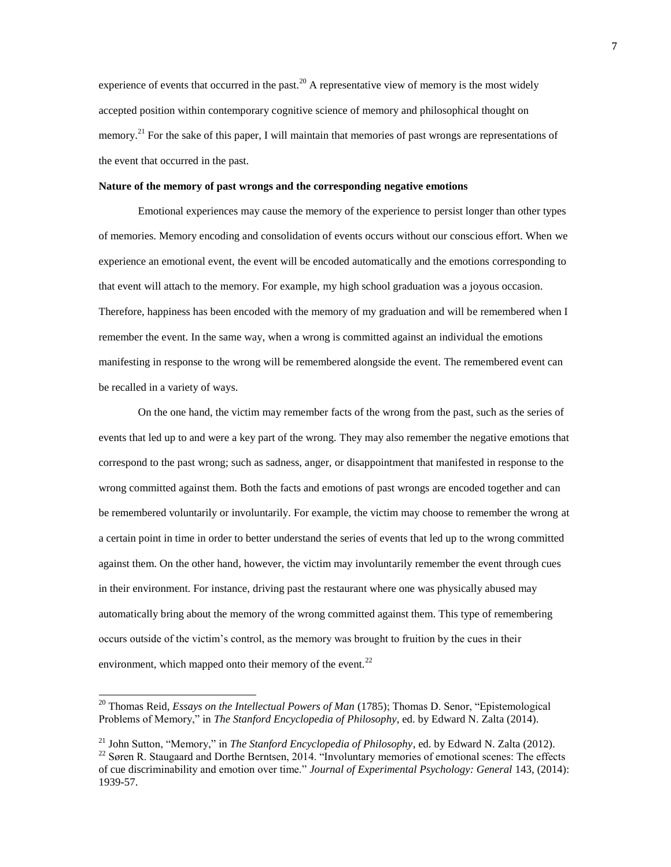experience of events that occurred in the past.<sup>20</sup> A representative view of memory is the most widely accepted position within contemporary cognitive science of memory and philosophical thought on memory.<sup>21</sup> For the sake of this paper, I will maintain that memories of past wrongs are representations of the event that occurred in the past.

#### **Nature of the memory of past wrongs and the corresponding negative emotions**

Emotional experiences may cause the memory of the experience to persist longer than other types of memories. Memory encoding and consolidation of events occurs without our conscious effort. When we experience an emotional event, the event will be encoded automatically and the emotions corresponding to that event will attach to the memory. For example, my high school graduation was a joyous occasion. Therefore, happiness has been encoded with the memory of my graduation and will be remembered when I remember the event. In the same way, when a wrong is committed against an individual the emotions manifesting in response to the wrong will be remembered alongside the event. The remembered event can be recalled in a variety of ways.

On the one hand, the victim may remember facts of the wrong from the past, such as the series of events that led up to and were a key part of the wrong. They may also remember the negative emotions that correspond to the past wrong; such as sadness, anger, or disappointment that manifested in response to the wrong committed against them. Both the facts and emotions of past wrongs are encoded together and can be remembered voluntarily or involuntarily. For example, the victim may choose to remember the wrong at a certain point in time in order to better understand the series of events that led up to the wrong committed against them. On the other hand, however, the victim may involuntarily remember the event through cues in their environment. For instance, driving past the restaurant where one was physically abused may automatically bring about the memory of the wrong committed against them. This type of remembering occurs outside of the victim's control, as the memory was brought to fruition by the cues in their environment, which mapped onto their memory of the event. $^{22}$ 

<sup>&</sup>lt;sup>20</sup> Thomas Reid, *Essays on the Intellectual Powers of Man* (1785); Thomas D. Senor, "Epistemological Problems of Memory," in *The Stanford Encyclopedia of Philosophy*, ed. by Edward N. Zalta (2014).

<sup>21</sup> John Sutton, "Memory," in *The Stanford Encyclopedia of Philosophy*, ed. by Edward N. Zalta (2012). <sup>22</sup> Søren R. Staugaard and Dorthe Berntsen, 2014. "Involuntary memories of emotional scenes: The effects of cue discriminability and emotion over time." *Journal of Experimental Psychology: General* 143, (2014): 1939-57.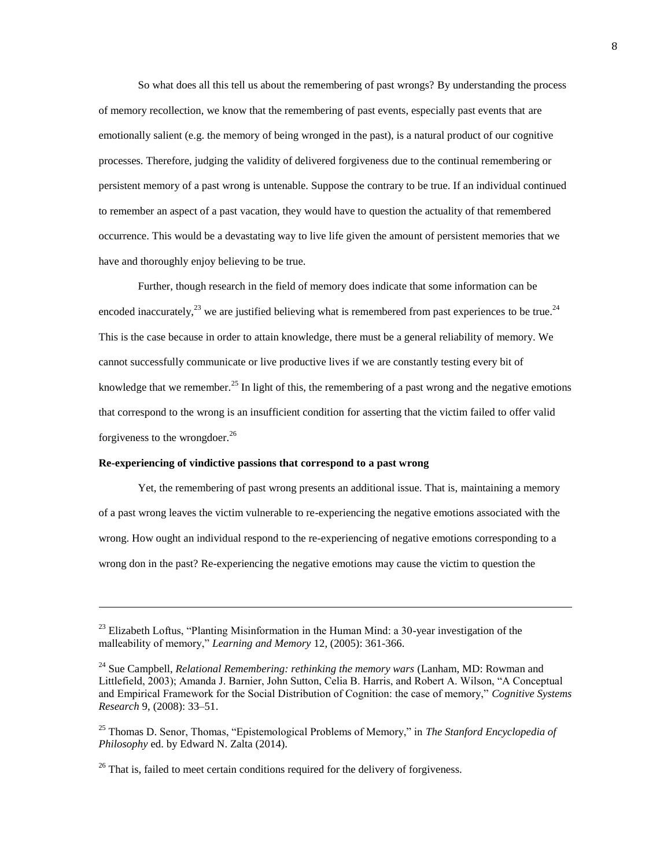So what does all this tell us about the remembering of past wrongs? By understanding the process of memory recollection, we know that the remembering of past events, especially past events that are emotionally salient (e.g. the memory of being wronged in the past), is a natural product of our cognitive processes. Therefore, judging the validity of delivered forgiveness due to the continual remembering or persistent memory of a past wrong is untenable. Suppose the contrary to be true. If an individual continued to remember an aspect of a past vacation, they would have to question the actuality of that remembered occurrence. This would be a devastating way to live life given the amount of persistent memories that we have and thoroughly enjoy believing to be true.

Further, though research in the field of memory does indicate that some information can be encoded inaccurately,<sup>23</sup> we are justified believing what is remembered from past experiences to be true.<sup>24</sup> This is the case because in order to attain knowledge, there must be a general reliability of memory. We cannot successfully communicate or live productive lives if we are constantly testing every bit of knowledge that we remember.<sup>25</sup> In light of this, the remembering of a past wrong and the negative emotions that correspond to the wrong is an insufficient condition for asserting that the victim failed to offer valid forgiveness to the wrongdoer.<sup>26</sup>

### **Re-experiencing of vindictive passions that correspond to a past wrong**

 $\overline{a}$ 

Yet, the remembering of past wrong presents an additional issue. That is, maintaining a memory of a past wrong leaves the victim vulnerable to re-experiencing the negative emotions associated with the wrong. How ought an individual respond to the re-experiencing of negative emotions corresponding to a wrong don in the past? Re-experiencing the negative emotions may cause the victim to question the

<sup>&</sup>lt;sup>23</sup> Elizabeth Loftus, "Planting Misinformation in the Human Mind: a 30-year investigation of the malleability of memory," *Learning and Memory* 12, (2005): 361-366.

<sup>24</sup> Sue Campbell, *Relational Remembering: rethinking the memory wars* (Lanham, MD: Rowman and Littlefield, 2003); Amanda J. Barnier, John Sutton, Celia B. Harris, and Robert A. Wilson, "A Conceptual and Empirical Framework for the Social Distribution of Cognition: the case of memory," *Cognitive Systems Research* 9, (2008): 33–51.

<sup>25</sup> Thomas D. Senor, Thomas, "Epistemological Problems of Memory," in *The Stanford Encyclopedia of Philosophy* ed. by Edward N. Zalta (2014).

 $^{26}$  That is, failed to meet certain conditions required for the delivery of forgiveness.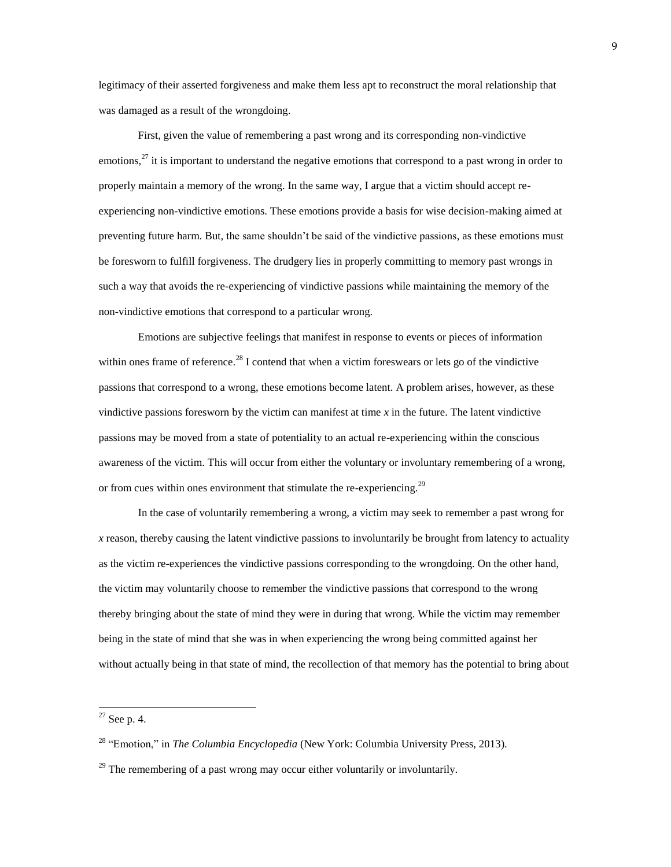legitimacy of their asserted forgiveness and make them less apt to reconstruct the moral relationship that was damaged as a result of the wrongdoing.

First, given the value of remembering a past wrong and its corresponding non-vindictive emotions,<sup>27</sup> it is important to understand the negative emotions that correspond to a past wrong in order to properly maintain a memory of the wrong. In the same way, I argue that a victim should accept reexperiencing non-vindictive emotions. These emotions provide a basis for wise decision-making aimed at preventing future harm. But, the same shouldn't be said of the vindictive passions, as these emotions must be foresworn to fulfill forgiveness. The drudgery lies in properly committing to memory past wrongs in such a way that avoids the re-experiencing of vindictive passions while maintaining the memory of the non-vindictive emotions that correspond to a particular wrong.

Emotions are subjective feelings that manifest in response to events or pieces of information within ones frame of reference.<sup>28</sup> I contend that when a victim foreswears or lets go of the vindictive passions that correspond to a wrong, these emotions become latent. A problem arises, however, as these vindictive passions foresworn by the victim can manifest at time *x* in the future. The latent vindictive passions may be moved from a state of potentiality to an actual re-experiencing within the conscious awareness of the victim. This will occur from either the voluntary or involuntary remembering of a wrong, or from cues within ones environment that stimulate the re-experiencing.<sup>29</sup>

In the case of voluntarily remembering a wrong, a victim may seek to remember a past wrong for *x* reason, thereby causing the latent vindictive passions to involuntarily be brought from latency to actuality as the victim re-experiences the vindictive passions corresponding to the wrongdoing. On the other hand, the victim may voluntarily choose to remember the vindictive passions that correspond to the wrong thereby bringing about the state of mind they were in during that wrong. While the victim may remember being in the state of mind that she was in when experiencing the wrong being committed against her without actually being in that state of mind, the recollection of that memory has the potential to bring about

 $27$  See p. 4.

<sup>28</sup> "Emotion," in *The Columbia Encyclopedia* (New York: Columbia University Press, 2013).

 $^{29}$  The remembering of a past wrong may occur either voluntarily or involuntarily.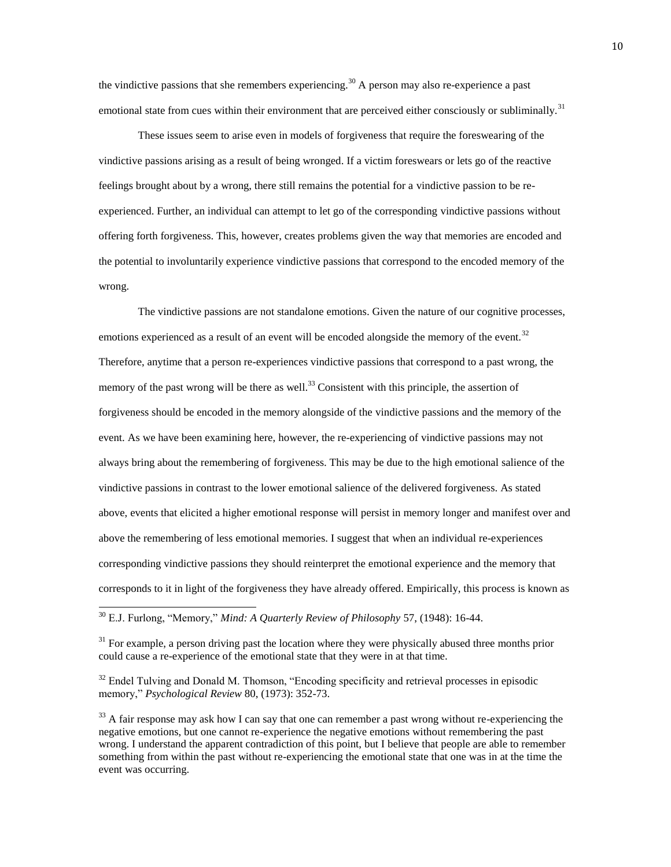the vindictive passions that she remembers experiencing.<sup>30</sup> A person may also re-experience a past emotional state from cues within their environment that are perceived either consciously or subliminally.<sup>31</sup>

These issues seem to arise even in models of forgiveness that require the foreswearing of the vindictive passions arising as a result of being wronged. If a victim foreswears or lets go of the reactive feelings brought about by a wrong, there still remains the potential for a vindictive passion to be reexperienced. Further, an individual can attempt to let go of the corresponding vindictive passions without offering forth forgiveness. This, however, creates problems given the way that memories are encoded and the potential to involuntarily experience vindictive passions that correspond to the encoded memory of the wrong.

The vindictive passions are not standalone emotions. Given the nature of our cognitive processes, emotions experienced as a result of an event will be encoded alongside the memory of the event.<sup>32</sup> Therefore, anytime that a person re-experiences vindictive passions that correspond to a past wrong, the memory of the past wrong will be there as well.<sup>33</sup> Consistent with this principle, the assertion of forgiveness should be encoded in the memory alongside of the vindictive passions and the memory of the event. As we have been examining here, however, the re-experiencing of vindictive passions may not always bring about the remembering of forgiveness. This may be due to the high emotional salience of the vindictive passions in contrast to the lower emotional salience of the delivered forgiveness. As stated above, events that elicited a higher emotional response will persist in memory longer and manifest over and above the remembering of less emotional memories. I suggest that when an individual re-experiences corresponding vindictive passions they should reinterpret the emotional experience and the memory that corresponds to it in light of the forgiveness they have already offered. Empirically, this process is known as

<sup>30</sup> E.J. Furlong, "Memory," *Mind: A Quarterly Review of Philosophy* 57, (1948): 16-44.

 $31$  For example, a person driving past the location where they were physically abused three months prior could cause a re-experience of the emotional state that they were in at that time.

<sup>&</sup>lt;sup>32</sup> Endel Tulving and Donald M. Thomson, "Encoding specificity and retrieval processes in episodic memory," *Psychological Review* 80, (1973): 352-73.

 $33$  A fair response may ask how I can say that one can remember a past wrong without re-experiencing the negative emotions, but one cannot re-experience the negative emotions without remembering the past wrong. I understand the apparent contradiction of this point, but I believe that people are able to remember something from within the past without re-experiencing the emotional state that one was in at the time the event was occurring.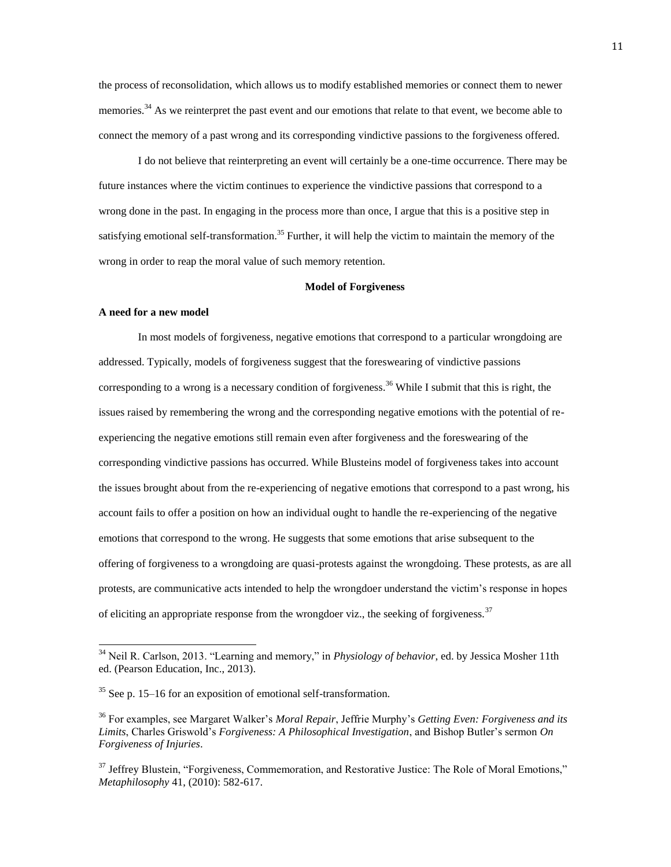the process of reconsolidation, which allows us to modify established memories or connect them to newer memories.<sup>34</sup> As we reinterpret the past event and our emotions that relate to that event, we become able to connect the memory of a past wrong and its corresponding vindictive passions to the forgiveness offered.

I do not believe that reinterpreting an event will certainly be a one-time occurrence. There may be future instances where the victim continues to experience the vindictive passions that correspond to a wrong done in the past. In engaging in the process more than once, I argue that this is a positive step in satisfying emotional self-transformation.<sup>35</sup> Further, it will help the victim to maintain the memory of the wrong in order to reap the moral value of such memory retention.

#### **Model of Forgiveness**

#### **A need for a new model**

 $\overline{a}$ 

In most models of forgiveness, negative emotions that correspond to a particular wrongdoing are addressed. Typically, models of forgiveness suggest that the foreswearing of vindictive passions corresponding to a wrong is a necessary condition of forgiveness.<sup>36</sup> While I submit that this is right, the issues raised by remembering the wrong and the corresponding negative emotions with the potential of reexperiencing the negative emotions still remain even after forgiveness and the foreswearing of the corresponding vindictive passions has occurred. While Blusteins model of forgiveness takes into account the issues brought about from the re-experiencing of negative emotions that correspond to a past wrong, his account fails to offer a position on how an individual ought to handle the re-experiencing of the negative emotions that correspond to the wrong. He suggests that some emotions that arise subsequent to the offering of forgiveness to a wrongdoing are quasi-protests against the wrongdoing. These protests, as are all protests, are communicative acts intended to help the wrongdoer understand the victim's response in hopes of eliciting an appropriate response from the wrongdoer viz., the seeking of forgiveness.<sup>37</sup>

<sup>34</sup> Neil R. Carlson, 2013. "Learning and memory," in *Physiology of behavior*, ed. by Jessica Mosher 11th ed. (Pearson Education, Inc., 2013).

 $35$  See p. 15–16 for an exposition of emotional self-transformation.

<sup>36</sup> For examples, see Margaret Walker's *Moral Repair*, Jeffrie Murphy's *Getting Even: Forgiveness and its Limits*, Charles Griswold's *Forgiveness: A Philosophical Investigation*, and Bishop Butler's sermon *On Forgiveness of Injuries*.

<sup>&</sup>lt;sup>37</sup> Jeffrey Blustein, "Forgiveness, Commemoration, and Restorative Justice: The Role of Moral Emotions." *Metaphilosophy* 41, (2010): 582-617.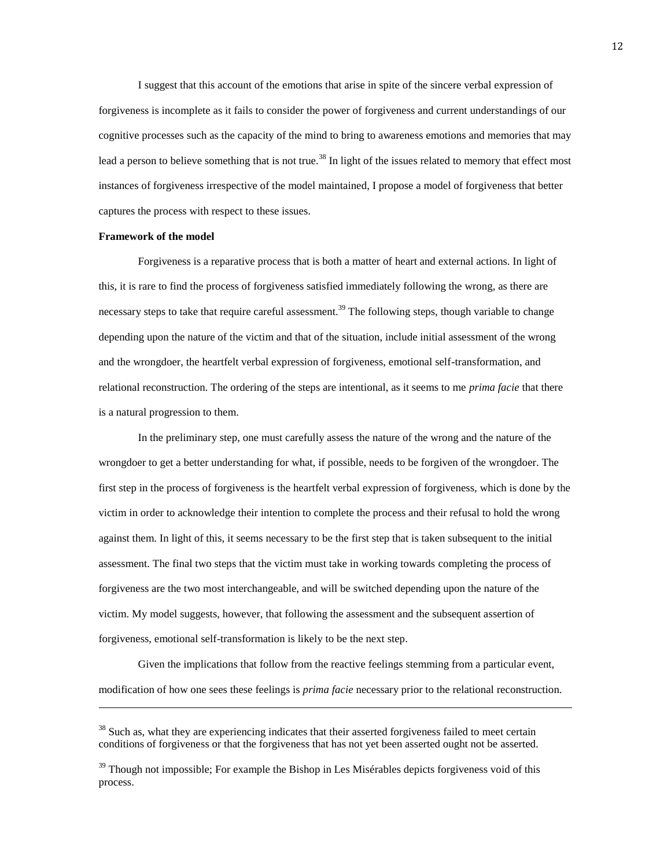I suggest that this account of the emotions that arise in spite of the sincere verbal expression of forgiveness is incomplete as it fails to consider the power of forgiveness and current understandings of our cognitive processes such as the capacity of the mind to bring to awareness emotions and memories that may lead a person to believe something that is not true.<sup>38</sup> In light of the issues related to memory that effect most instances of forgiveness irrespective of the model maintained, I propose a model of forgiveness that better captures the process with respect to these issues.

#### **Framework of the model**

 $\overline{a}$ 

Forgiveness is a reparative process that is both a matter of heart and external actions. In light of this, it is rare to find the process of forgiveness satisfied immediately following the wrong, as there are necessary steps to take that require careful assessment.<sup>39</sup> The following steps, though variable to change depending upon the nature of the victim and that of the situation, include initial assessment of the wrong and the wrongdoer, the heartfelt verbal expression of forgiveness, emotional self-transformation, and relational reconstruction. The ordering of the steps are intentional, as it seems to me *prima facie* that there is a natural progression to them.

In the preliminary step, one must carefully assess the nature of the wrong and the nature of the wrongdoer to get a better understanding for what, if possible, needs to be forgiven of the wrongdoer. The first step in the process of forgiveness is the heartfelt verbal expression of forgiveness, which is done by the victim in order to acknowledge their intention to complete the process and their refusal to hold the wrong against them. In light of this, it seems necessary to be the first step that is taken subsequent to the initial assessment. The final two steps that the victim must take in working towards completing the process of forgiveness are the two most interchangeable, and will be switched depending upon the nature of the victim. My model suggests, however, that following the assessment and the subsequent assertion of forgiveness, emotional self-transformation is likely to be the next step.

Given the implications that follow from the reactive feelings stemming from a particular event, modification of how one sees these feelings is *prima facie* necessary prior to the relational reconstruction.

<sup>&</sup>lt;sup>38</sup> Such as, what they are experiencing indicates that their asserted forgiveness failed to meet certain conditions of forgiveness or that the forgiveness that has not yet been asserted ought not be asserted.

<sup>&</sup>lt;sup>39</sup> Though not impossible; For example the Bishop in Les Misérables depicts forgiveness void of this process.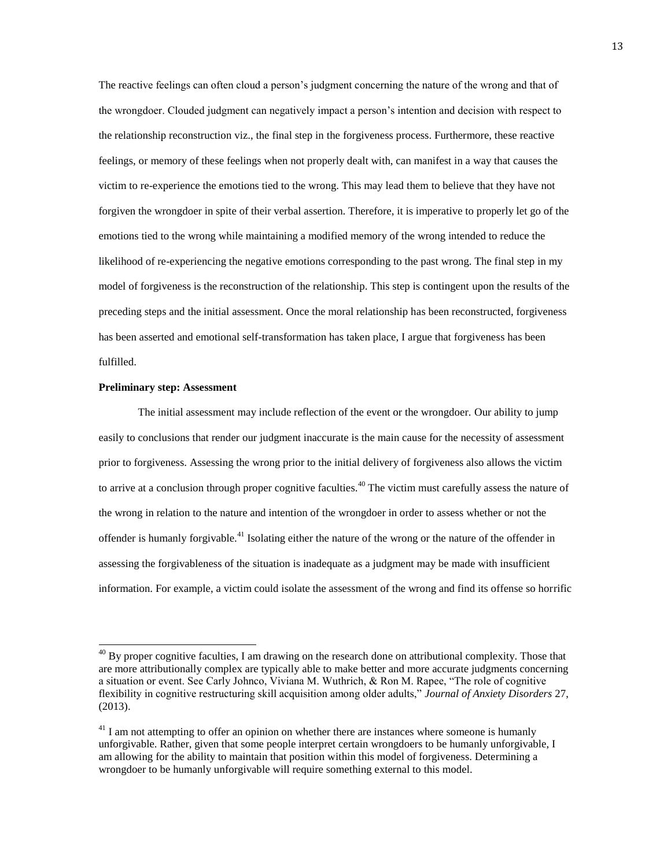The reactive feelings can often cloud a person's judgment concerning the nature of the wrong and that of the wrongdoer. Clouded judgment can negatively impact a person's intention and decision with respect to the relationship reconstruction viz., the final step in the forgiveness process. Furthermore, these reactive feelings, or memory of these feelings when not properly dealt with, can manifest in a way that causes the victim to re-experience the emotions tied to the wrong. This may lead them to believe that they have not forgiven the wrongdoer in spite of their verbal assertion. Therefore, it is imperative to properly let go of the emotions tied to the wrong while maintaining a modified memory of the wrong intended to reduce the likelihood of re-experiencing the negative emotions corresponding to the past wrong. The final step in my model of forgiveness is the reconstruction of the relationship. This step is contingent upon the results of the preceding steps and the initial assessment. Once the moral relationship has been reconstructed, forgiveness has been asserted and emotional self-transformation has taken place, I argue that forgiveness has been fulfilled.

#### **Preliminary step: Assessment**

 $\overline{a}$ 

The initial assessment may include reflection of the event or the wrongdoer. Our ability to jump easily to conclusions that render our judgment inaccurate is the main cause for the necessity of assessment prior to forgiveness. Assessing the wrong prior to the initial delivery of forgiveness also allows the victim to arrive at a conclusion through proper cognitive faculties.<sup>40</sup> The victim must carefully assess the nature of the wrong in relation to the nature and intention of the wrongdoer in order to assess whether or not the offender is humanly forgivable.<sup>41</sup> Isolating either the nature of the wrong or the nature of the offender in assessing the forgivableness of the situation is inadequate as a judgment may be made with insufficient information. For example, a victim could isolate the assessment of the wrong and find its offense so horrific

<sup>&</sup>lt;sup>40</sup> By proper cognitive faculties, I am drawing on the research done on attributional complexity. Those that are more attributionally complex are typically able to make better and more accurate judgments concerning a situation or event. See Carly Johnco, Viviana M. Wuthrich, & Ron M. Rapee, "The role of cognitive flexibility in cognitive restructuring skill acquisition among older adults," *Journal of Anxiety Disorders* 27, (2013).

 $41$  I am not attempting to offer an opinion on whether there are instances where someone is humanly unforgivable. Rather, given that some people interpret certain wrongdoers to be humanly unforgivable, I am allowing for the ability to maintain that position within this model of forgiveness. Determining a wrongdoer to be humanly unforgivable will require something external to this model.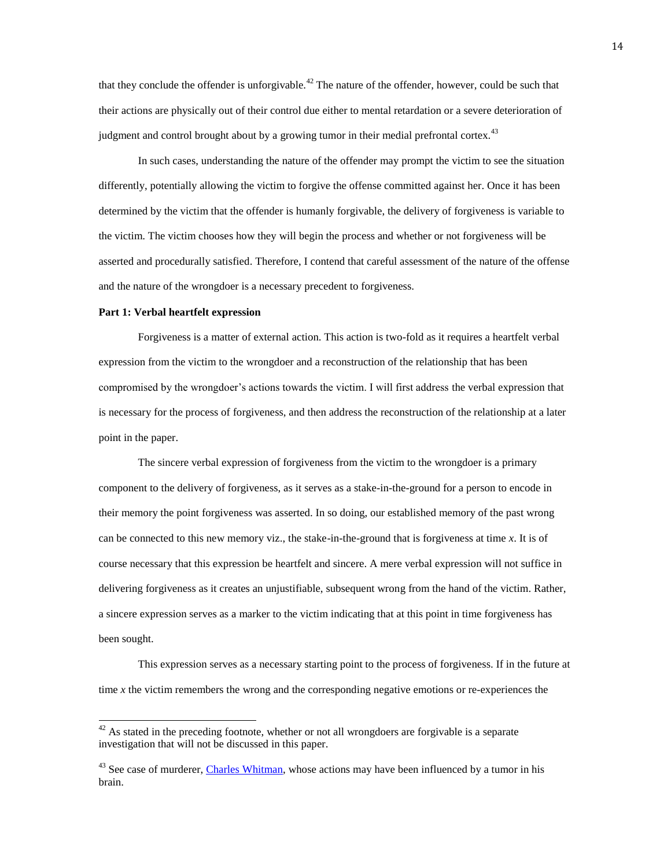that they conclude the offender is unforgivable.<sup>42</sup> The nature of the offender, however, could be such that their actions are physically out of their control due either to mental retardation or a severe deterioration of judgment and control brought about by a growing tumor in their medial prefrontal cortex.<sup>43</sup>

In such cases, understanding the nature of the offender may prompt the victim to see the situation differently, potentially allowing the victim to forgive the offense committed against her. Once it has been determined by the victim that the offender is humanly forgivable, the delivery of forgiveness is variable to the victim. The victim chooses how they will begin the process and whether or not forgiveness will be asserted and procedurally satisfied. Therefore, I contend that careful assessment of the nature of the offense and the nature of the wrongdoer is a necessary precedent to forgiveness.

#### **Part 1: Verbal heartfelt expression**

 $\overline{a}$ 

Forgiveness is a matter of external action. This action is two-fold as it requires a heartfelt verbal expression from the victim to the wrongdoer and a reconstruction of the relationship that has been compromised by the wrongdoer's actions towards the victim. I will first address the verbal expression that is necessary for the process of forgiveness, and then address the reconstruction of the relationship at a later point in the paper.

The sincere verbal expression of forgiveness from the victim to the wrongdoer is a primary component to the delivery of forgiveness, as it serves as a stake-in-the-ground for a person to encode in their memory the point forgiveness was asserted. In so doing, our established memory of the past wrong can be connected to this new memory viz., the stake-in-the-ground that is forgiveness at time *x*. It is of course necessary that this expression be heartfelt and sincere. A mere verbal expression will not suffice in delivering forgiveness as it creates an unjustifiable, subsequent wrong from the hand of the victim. Rather, a sincere expression serves as a marker to the victim indicating that at this point in time forgiveness has been sought.

This expression serves as a necessary starting point to the process of forgiveness. If in the future at time  $x$  the victim remembers the wrong and the corresponding negative emotions or re-experiences the

 $42$  As stated in the preceding footnote, whether or not all wrongdoers are forgivable is a separate investigation that will not be discussed in this paper.

 $43$  See case of murderer, [Charles Whitman,](http://en.wikipedia.org/wiki/Charles_Whitman) whose actions may have been influenced by a tumor in his brain.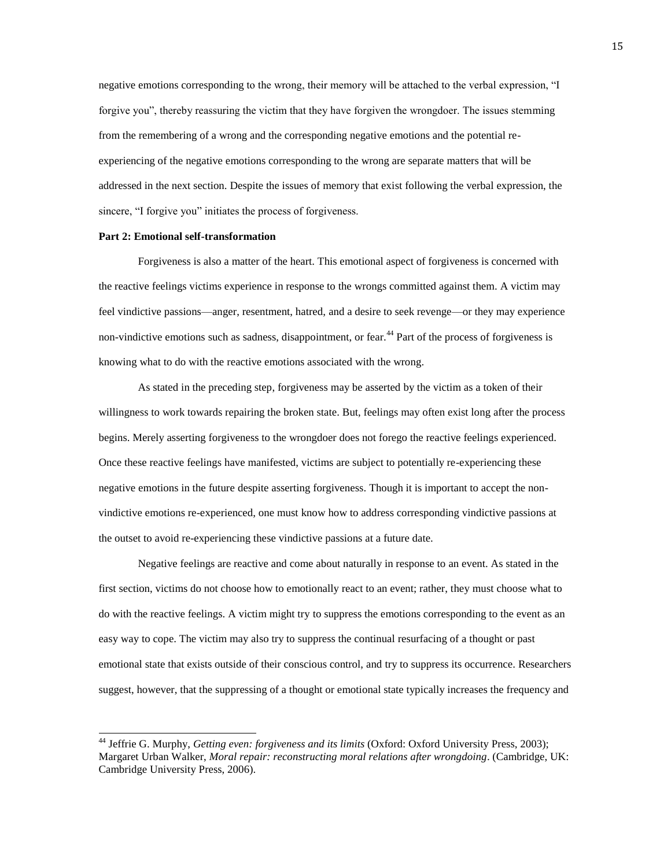negative emotions corresponding to the wrong, their memory will be attached to the verbal expression, "I forgive you", thereby reassuring the victim that they have forgiven the wrongdoer. The issues stemming from the remembering of a wrong and the corresponding negative emotions and the potential reexperiencing of the negative emotions corresponding to the wrong are separate matters that will be addressed in the next section. Despite the issues of memory that exist following the verbal expression, the sincere, "I forgive you" initiates the process of forgiveness.

#### **Part 2: Emotional self-transformation**

 $\overline{a}$ 

Forgiveness is also a matter of the heart. This emotional aspect of forgiveness is concerned with the reactive feelings victims experience in response to the wrongs committed against them. A victim may feel vindictive passions—anger, resentment, hatred, and a desire to seek revenge—or they may experience non-vindictive emotions such as sadness, disappointment, or fear.<sup>44</sup> Part of the process of forgiveness is knowing what to do with the reactive emotions associated with the wrong.

As stated in the preceding step, forgiveness may be asserted by the victim as a token of their willingness to work towards repairing the broken state. But, feelings may often exist long after the process begins. Merely asserting forgiveness to the wrongdoer does not forego the reactive feelings experienced. Once these reactive feelings have manifested, victims are subject to potentially re-experiencing these negative emotions in the future despite asserting forgiveness. Though it is important to accept the nonvindictive emotions re-experienced, one must know how to address corresponding vindictive passions at the outset to avoid re-experiencing these vindictive passions at a future date.

Negative feelings are reactive and come about naturally in response to an event. As stated in the first section, victims do not choose how to emotionally react to an event; rather, they must choose what to do with the reactive feelings. A victim might try to suppress the emotions corresponding to the event as an easy way to cope. The victim may also try to suppress the continual resurfacing of a thought or past emotional state that exists outside of their conscious control, and try to suppress its occurrence. Researchers suggest, however, that the suppressing of a thought or emotional state typically increases the frequency and

<sup>44</sup> Jeffrie G. Murphy, *Getting even: forgiveness and its limits* (Oxford: Oxford University Press, 2003); Margaret Urban Walker, *Moral repair: reconstructing moral relations after wrongdoing*. (Cambridge, UK: Cambridge University Press, 2006).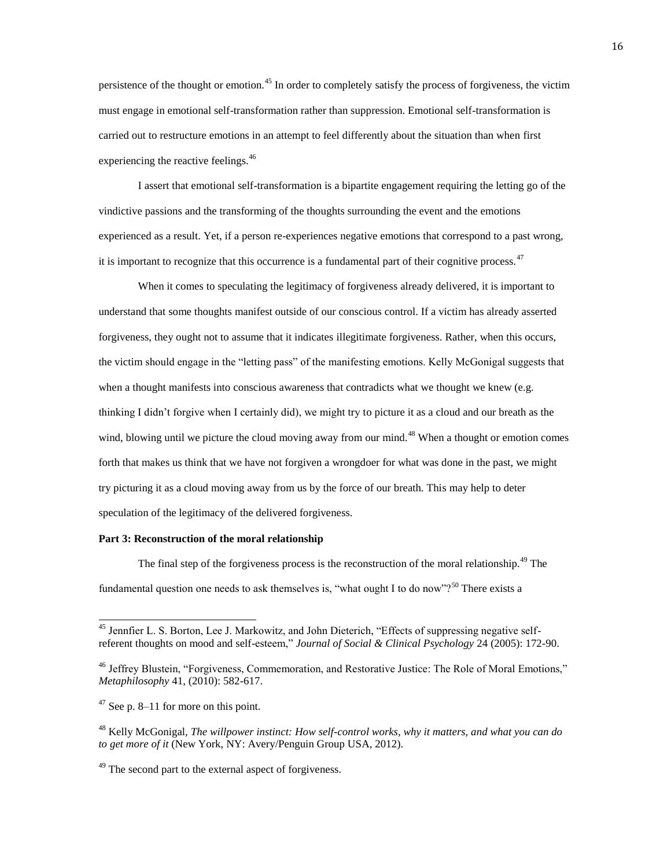persistence of the thought or emotion.<sup>45</sup> In order to completely satisfy the process of forgiveness, the victim must engage in emotional self-transformation rather than suppression. Emotional self-transformation is carried out to restructure emotions in an attempt to feel differently about the situation than when first experiencing the reactive feelings.<sup>46</sup>

I assert that emotional self-transformation is a bipartite engagement requiring the letting go of the vindictive passions and the transforming of the thoughts surrounding the event and the emotions experienced as a result. Yet, if a person re-experiences negative emotions that correspond to a past wrong, it is important to recognize that this occurrence is a fundamental part of their cognitive process.<sup>47</sup>

When it comes to speculating the legitimacy of forgiveness already delivered, it is important to understand that some thoughts manifest outside of our conscious control. If a victim has already asserted forgiveness, they ought not to assume that it indicates illegitimate forgiveness. Rather, when this occurs, the victim should engage in the "letting pass" of the manifesting emotions. Kelly McGonigal suggests that when a thought manifests into conscious awareness that contradicts what we thought we knew (e.g. thinking I didn't forgive when I certainly did), we might try to picture it as a cloud and our breath as the wind, blowing until we picture the cloud moving away from our mind.<sup>48</sup> When a thought or emotion comes forth that makes us think that we have not forgiven a wrongdoer for what was done in the past, we might try picturing it as a cloud moving away from us by the force of our breath. This may help to deter speculation of the legitimacy of the delivered forgiveness.

#### **Part 3: Reconstruction of the moral relationship**

The final step of the forgiveness process is the reconstruction of the moral relationship.<sup>49</sup> The fundamental question one needs to ask themselves is, "what ought I to do now"?<sup>50</sup> There exists a

<sup>&</sup>lt;sup>45</sup> Jennfier L. S. Borton, Lee J. Markowitz, and John Dieterich, "Effects of suppressing negative selfreferent thoughts on mood and self-esteem," *Journal of Social & Clinical Psychology* 24 (2005): 172-90.

<sup>&</sup>lt;sup>46</sup> Jeffrey Blustein, "Forgiveness, Commemoration, and Restorative Justice: The Role of Moral Emotions," *Metaphilosophy* 41, (2010): 582-617.

 $47$  See p. 8–11 for more on this point.

<sup>48</sup> Kelly McGonigal, *The willpower instinct: How self-control works, why it matters, and what you can do to get more of it* (New York, NY: Avery/Penguin Group USA, 2012).

<sup>&</sup>lt;sup>49</sup> The second part to the external aspect of forgiveness.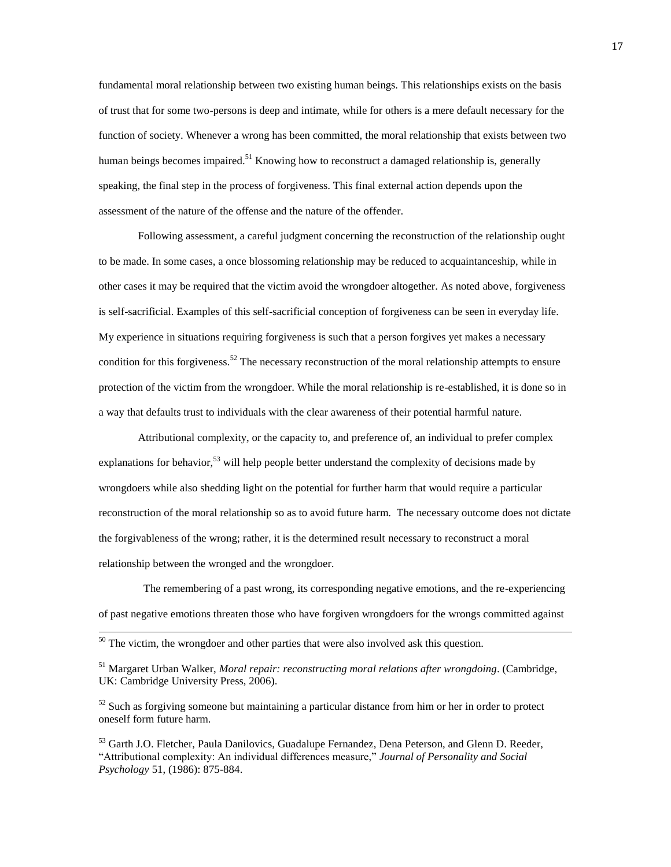fundamental moral relationship between two existing human beings. This relationships exists on the basis of trust that for some two-persons is deep and intimate, while for others is a mere default necessary for the function of society. Whenever a wrong has been committed, the moral relationship that exists between two human beings becomes impaired.<sup>51</sup> Knowing how to reconstruct a damaged relationship is, generally speaking, the final step in the process of forgiveness. This final external action depends upon the assessment of the nature of the offense and the nature of the offender.

Following assessment, a careful judgment concerning the reconstruction of the relationship ought to be made. In some cases, a once blossoming relationship may be reduced to acquaintanceship, while in other cases it may be required that the victim avoid the wrongdoer altogether. As noted above, forgiveness is self-sacrificial. Examples of this self-sacrificial conception of forgiveness can be seen in everyday life. My experience in situations requiring forgiveness is such that a person forgives yet makes a necessary condition for this forgiveness.<sup>52</sup> The necessary reconstruction of the moral relationship attempts to ensure protection of the victim from the wrongdoer. While the moral relationship is re-established, it is done so in a way that defaults trust to individuals with the clear awareness of their potential harmful nature.

Attributional complexity, or the capacity to, and preference of, an individual to prefer complex explanations for behavior,<sup>53</sup> will help people better understand the complexity of decisions made by wrongdoers while also shedding light on the potential for further harm that would require a particular reconstruction of the moral relationship so as to avoid future harm. The necessary outcome does not dictate the forgivableness of the wrong; rather, it is the determined result necessary to reconstruct a moral relationship between the wronged and the wrongdoer.

The remembering of a past wrong, its corresponding negative emotions, and the re-experiencing of past negative emotions threaten those who have forgiven wrongdoers for the wrongs committed against

 $\overline{a}$ 

<sup>51</sup> Margaret Urban Walker, *Moral repair: reconstructing moral relations after wrongdoing*. (Cambridge, UK: Cambridge University Press, 2006).

 $52$  Such as forgiving someone but maintaining a particular distance from him or her in order to protect oneself form future harm.

<sup>53</sup> Garth J.O. Fletcher, Paula Danilovics, Guadalupe Fernandez, Dena Peterson, and Glenn D. Reeder, "Attributional complexity: An individual differences measure," *Journal of Personality and Social Psychology* 51, (1986): 875-884.

 $50$  The victim, the wrongdoer and other parties that were also involved ask this question.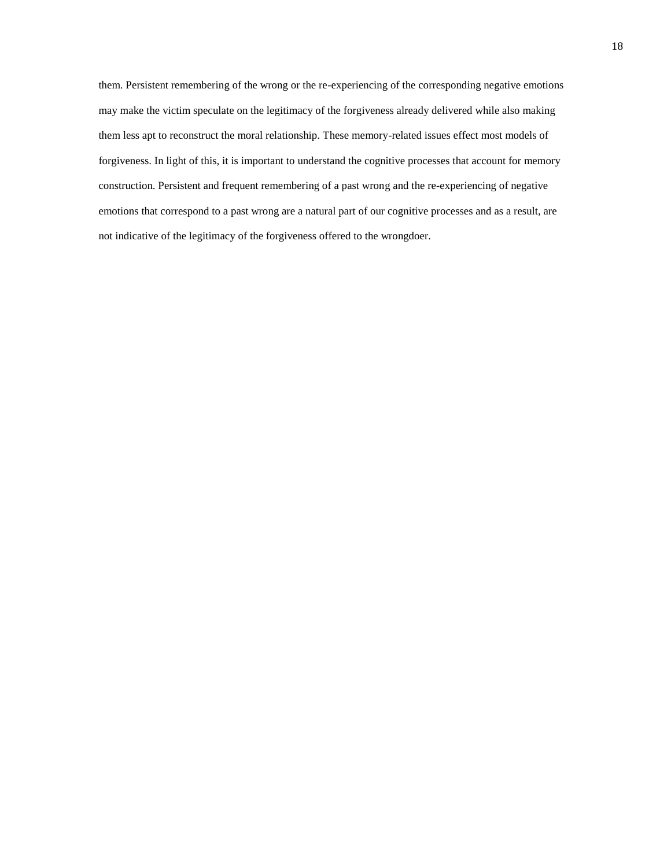them. Persistent remembering of the wrong or the re-experiencing of the corresponding negative emotions may make the victim speculate on the legitimacy of the forgiveness already delivered while also making them less apt to reconstruct the moral relationship. These memory-related issues effect most models of forgiveness. In light of this, it is important to understand the cognitive processes that account for memory construction. Persistent and frequent remembering of a past wrong and the re-experiencing of negative emotions that correspond to a past wrong are a natural part of our cognitive processes and as a result, are not indicative of the legitimacy of the forgiveness offered to the wrongdoer.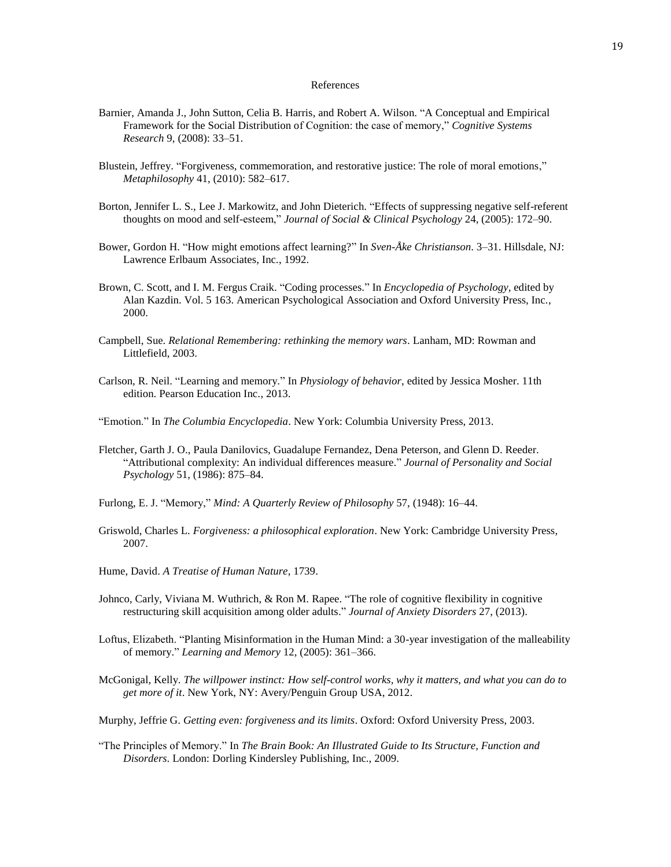#### References

- Barnier, Amanda J., John Sutton, Celia B. Harris, and Robert A. Wilson. "A Conceptual and Empirical Framework for the Social Distribution of Cognition: the case of memory," *Cognitive Systems Research* 9, (2008): 33–51.
- Blustein, Jeffrey. "Forgiveness, commemoration, and restorative justice: The role of moral emotions," *Metaphilosophy* 41, (2010): 582–617.
- Borton, Jennifer L. S., Lee J. Markowitz, and John Dieterich. "Effects of suppressing negative self-referent thoughts on mood and self-esteem," *Journal of Social & Clinical Psychology* 24, (2005): 172–90.
- Bower, Gordon H. "How might emotions affect learning?" In *Sven-Åke Christianson*. 3–31. Hillsdale, NJ: Lawrence Erlbaum Associates, Inc., 1992.
- Brown, C. Scott, and I. M. Fergus Craik. "Coding processes." In *Encyclopedia of Psychology*, edited by Alan Kazdin. Vol. 5 163. American Psychological Association and Oxford University Press, Inc., 2000.
- Campbell, Sue. *Relational Remembering: rethinking the memory wars*. Lanham, MD: Rowman and Littlefield, 2003.
- Carlson, R. Neil. "Learning and memory." In *Physiology of behavior*, edited by Jessica Mosher. 11th edition. Pearson Education Inc., 2013.
- "Emotion." In *The Columbia Encyclopedia*. New York: Columbia University Press, 2013.
- Fletcher, Garth J. O., Paula Danilovics, Guadalupe Fernandez, Dena Peterson, and Glenn D. Reeder. "Attributional complexity: An individual differences measure." *Journal of Personality and Social Psychology* 51, (1986): 875–84.
- Furlong, E. J. "Memory," *Mind: A Quarterly Review of Philosophy* 57, (1948): 16–44.
- Griswold, Charles L. *Forgiveness: a philosophical exploration*. New York: Cambridge University Press, 2007.
- Hume, David. *A Treatise of Human Nature*, 1739.
- Johnco, Carly, Viviana M. Wuthrich, & Ron M. Rapee. "The role of cognitive flexibility in cognitive restructuring skill acquisition among older adults." *Journal of Anxiety Disorders* 27, (2013).
- Loftus, Elizabeth. "Planting Misinformation in the Human Mind: a 30-year investigation of the malleability of memory." *Learning and Memory* 12, (2005): 361–366.
- McGonigal, Kelly. *The willpower instinct: How self-control works, why it matters, and what you can do to get more of it*. New York, NY: Avery/Penguin Group USA, 2012.
- Murphy, Jeffrie G. *Getting even: forgiveness and its limits*. Oxford: Oxford University Press, 2003.
- "The Principles of Memory." In *The Brain Book: An Illustrated Guide to Its Structure, Function and Disorders*. London: Dorling Kindersley Publishing, Inc., 2009.